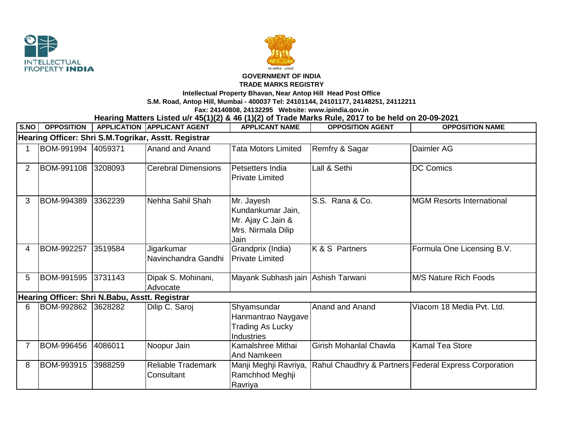



## **GOVERNMENT OF INDIA**

## **TRADE MARKS REGISTRY**

**Intellectual Property Bhavan, Near Antop Hill Head Post Office**

**S.M. Road, Antop Hill, Mumbai - 400037 Tel: 24101144, 24101177, 24148251, 24112211**

**Fax: 24140808, 24132295 Website: www.ipindia.gov.in**

**Hearing Matters Listed u/r 45(1)(2) & 46 (1)(2) of Trade Marks Rule, 2017 to be held on 20-09-2021** 

| S.NO                                                 | <b>OPPOSITION</b> |         | <b>APPLICATION APPLICANT AGENT</b>      | <b>APPLICANT NAME</b>                                                              | <b>OPPOSITION AGENT</b> | <b>OPPOSITION NAME</b>                                |  |  |  |  |
|------------------------------------------------------|-------------------|---------|-----------------------------------------|------------------------------------------------------------------------------------|-------------------------|-------------------------------------------------------|--|--|--|--|
| Hearing Officer: Shri S.M.Togrikar, Asstt. Registrar |                   |         |                                         |                                                                                    |                         |                                                       |  |  |  |  |
|                                                      | BOM-991994        | 4059371 | Anand and Anand                         | <b>Tata Motors Limited</b>                                                         | Remfry & Sagar          | Daimler AG                                            |  |  |  |  |
| $\overline{2}$                                       | BOM-991108        | 3208093 | <b>Cerebral Dimensions</b>              | Petsetters India<br><b>Private Limited</b>                                         | Lall & Sethi            | <b>DC Comics</b>                                      |  |  |  |  |
| 3                                                    | BOM-994389        | 3362239 | Nehha Sahil Shah                        | Mr. Jayesh<br>Kundankumar Jain,<br>Mr. Ajay C Jain &<br>Mrs. Nirmala Dilip<br>Jain | S.S. Rana & Co.         | <b>MGM Resorts International</b>                      |  |  |  |  |
| 4                                                    | BOM-992257        | 3519584 | Jigarkumar<br>Navinchandra Gandhi       | Grandprix (India)<br><b>Private Limited</b>                                        | K & S Partners          | Formula One Licensing B.V.                            |  |  |  |  |
| 5                                                    | BOM-991595        | 3731143 | Dipak S. Mohinani,<br>Advocate          | Mayank Subhash jain Ashish Tarwani                                                 |                         | M/S Nature Rich Foods                                 |  |  |  |  |
| Hearing Officer: Shri N.Babu, Asstt. Registrar       |                   |         |                                         |                                                                                    |                         |                                                       |  |  |  |  |
| 6                                                    | BOM-992862        | 3628282 | Dilip C. Saroj                          | Shyamsundar<br>Hanmantrao Naygave<br><b>Trading As Lucky</b><br><b>Industries</b>  | Anand and Anand         | Viacom 18 Media Pvt. Ltd.                             |  |  |  |  |
| $\overline{7}$                                       | BOM-996456        | 4086011 | Noopur Jain                             | Kamalshree Mithai<br>And Namkeen                                                   | Girish Mohanlal Chawla  | Kamal Tea Store                                       |  |  |  |  |
| 8                                                    | BOM-993915        | 3988259 | <b>Reliable Trademark</b><br>Consultant | Manji Meghji Ravriya,<br>Ramchhod Meghji<br>Ravriya                                |                         | Rahul Chaudhry & Partners Federal Express Corporation |  |  |  |  |